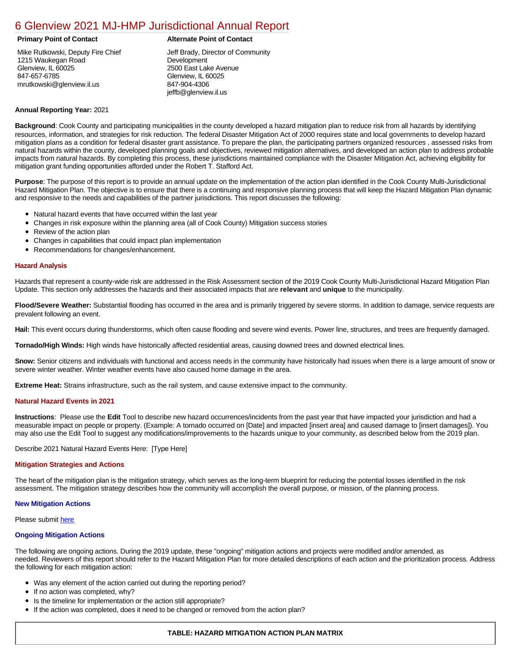# [6 Glenview 2021 MJ-HMP Jurisdictional Annual Report](https://glenview.isc-cemp.com/Cemp/Details?id=8322785)

Mike Rutkowski, Deputy Fire Chief 1215 Waukegan Road Glenview, IL 60025 847-657-6785 mrutkowski@glenview.il.us

# **Primary Point of Contact Alternate Point of Contact**

Jeff Brady, Director of Community Development 2500 East Lake Avenue Glenview, IL 60025 847-904-4306 jeffb@glenview.il.us

# **Annual Reporting Year:** 2021

**Background**: Cook County and participating municipalities in the county developed a hazard mitigation plan to reduce risk from all hazards by identifying resources, information, and strategies for risk reduction. The federal Disaster Mitigation Act of 2000 requires state and local governments to develop hazard mitigation plans as a condition for federal disaster grant assistance. To prepare the plan, the participating partners organized resources , assessed risks from natural hazards within the county, developed planning goals and objectives, reviewed mitigation alternatives, and developed an action plan to address probable impacts from natural hazards. By completing this process, these jurisdictions maintained compliance with the Disaster Mitigation Act, achieving eligibility for mitigation grant funding opportunities afforded under the Robert T. Stafford Act.

**Purpose**: The purpose of this report is to provide an annual update on the implementation of the action plan identified in the Cook County Multi-Jurisdictional Hazard Mitigation Plan. The objective is to ensure that there is a continuing and responsive planning process that will keep the Hazard Mitigation Plan dynamic and responsive to the needs and capabilities of the partner jurisdictions. This report discusses the following:

- Natural hazard events that have occurred within the last year
- Changes in risk exposure within the planning area (all of Cook County) Mitigation success stories
- $\bullet$ Review of the action plan
- Changes in capabilities that could impact plan implementation
- Recommendations for changes/enhancement.

# **Hazard Analysis**

Hazards that represent a county-wide risk are addressed in the Risk Assessment section of the 2019 Cook County Multi-Jurisdictional Hazard Mitigation Plan Update. This section only addresses the hazards and their associated impacts that are **relevant** and **unique** to the municipality.

**Flood/Severe Weather:** Substantial flooding has occurred in the area and is primarily triggered by severe storms. In addition to damage, service requests are prevalent following an event.

**Hail:** This event occurs during thunderstorms, which often cause flooding and severe wind events. Power line, structures, and trees are frequently damaged.

**Tornado/High Winds:** High winds have historically affected residential areas, causing downed trees and downed electrical lines.

**Snow:** Senior citizens and individuals with functional and access needs in the community have historically had issues when there is a large amount of snow or severe winter weather. Winter weather events have also caused home damage in the area.

**Extreme Heat:** Strains infrastructure, such as the rail system, and cause extensive impact to the community.

### **Natural Hazard Events in 2021**

**Instructions**: Please use the **Edit** Tool to describe new hazard occurrences/incidents from the past year that have impacted your jurisdiction and had a measurable impact on people or property. (Example: A tornado occurred on [Date] and impacted [insert area] and caused damage to [insert damages]). You may also use the Edit Tool to suggest any modifications/improvements to the hazards unique to your community, as described below from the 2019 plan.

Describe 2021 Natural Hazard Events Here: [Type Here]

### **Mitigation Strategies and Actions**

The heart of the mitigation plan is the mitigation strategy, which serves as the long-term blueprint for reducing the potential losses identified in the risk assessment. The mitigation strategy describes how the community will accomplish the overall purpose, or mission, of the planning process.

### **New Mitigation Actions**

Please submit [here](https://integratedsolutions.wufoo.com/forms/mg21jvf0jn639o/)

## **Ongoing Mitigation Actions**

The following are ongoing actions. During the 2019 update, these "ongoing" mitigation actions and projects were modified and/or amended, as needed. Reviewers of this report should refer to the Hazard Mitigation Plan for more detailed descriptions of each action and the prioritization process. Address the following for each mitigation action:

- Was any element of the action carried out during the reporting period?
- If no action was completed, why?
- Is the timeline for implementation or the action still appropriate?
- If the action was completed, does it need to be changed or removed from the action plan?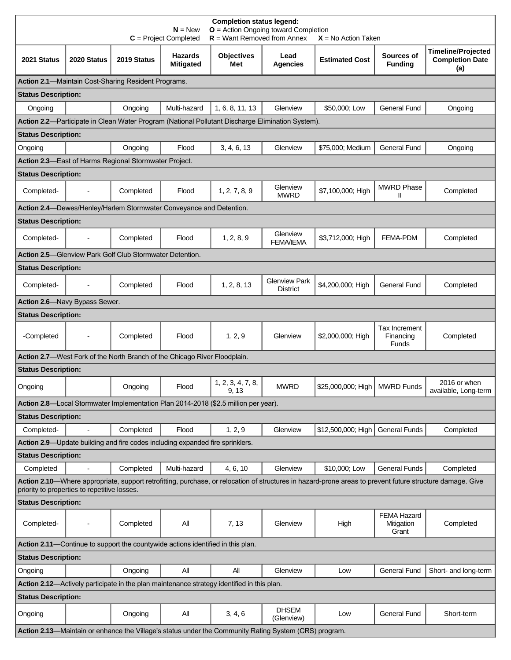| <b>Completion status legend:</b><br>$N = New$<br>$O =$ Action Ongoing toward Completion<br>$R =$ Want Removed from Annex<br>$C = Project Completed$<br>$X = No$ Action Taken                              |                                                                                                  |                                                                     |                                    |                            |                                         |                       |                                           |                                                            |  |
|-----------------------------------------------------------------------------------------------------------------------------------------------------------------------------------------------------------|--------------------------------------------------------------------------------------------------|---------------------------------------------------------------------|------------------------------------|----------------------------|-----------------------------------------|-----------------------|-------------------------------------------|------------------------------------------------------------|--|
| 2021 Status                                                                                                                                                                                               | 2020 Status                                                                                      | 2019 Status                                                         | <b>Hazards</b><br><b>Mitigated</b> | <b>Objectives</b><br>Met   | Lead<br><b>Agencies</b>                 | <b>Estimated Cost</b> | Sources of<br><b>Funding</b>              | <b>Timeline/Projected</b><br><b>Completion Date</b><br>(a) |  |
|                                                                                                                                                                                                           |                                                                                                  | Action 2.1-Maintain Cost-Sharing Resident Programs.                 |                                    |                            |                                         |                       |                                           |                                                            |  |
| <b>Status Description:</b>                                                                                                                                                                                |                                                                                                  |                                                                     |                                    |                            |                                         |                       |                                           |                                                            |  |
| Ongoing                                                                                                                                                                                                   |                                                                                                  | Ongoing                                                             | Multi-hazard                       | 1, 6, 8, 11, 13            | Glenview                                | \$50,000; Low         | <b>General Fund</b>                       | Ongoing                                                    |  |
|                                                                                                                                                                                                           | Action 2.2-Participate in Clean Water Program (National Pollutant Discharge Elimination System). |                                                                     |                                    |                            |                                         |                       |                                           |                                                            |  |
| <b>Status Description:</b>                                                                                                                                                                                |                                                                                                  |                                                                     |                                    |                            |                                         |                       |                                           |                                                            |  |
| Ongoing                                                                                                                                                                                                   |                                                                                                  | Ongoing                                                             | Flood                              | 3, 4, 6, 13                | Glenview                                | \$75,000; Medium      | <b>General Fund</b>                       | Ongoing                                                    |  |
|                                                                                                                                                                                                           |                                                                                                  | Action 2.3-East of Harms Regional Stormwater Project.               |                                    |                            |                                         |                       |                                           |                                                            |  |
| <b>Status Description:</b>                                                                                                                                                                                |                                                                                                  |                                                                     |                                    |                            |                                         |                       |                                           |                                                            |  |
| Completed-                                                                                                                                                                                                |                                                                                                  | Completed                                                           | Flood                              | 1, 2, 7, 8, 9              | Glenview<br><b>MWRD</b>                 | \$7,100,000; High     | <b>MWRD Phase</b><br>Ш                    | Completed                                                  |  |
|                                                                                                                                                                                                           |                                                                                                  | Action 2.4-Dewes/Henley/Harlem Stormwater Conveyance and Detention. |                                    |                            |                                         |                       |                                           |                                                            |  |
| <b>Status Description:</b>                                                                                                                                                                                |                                                                                                  |                                                                     |                                    |                            |                                         |                       |                                           |                                                            |  |
| Completed-                                                                                                                                                                                                |                                                                                                  | Completed                                                           | Flood                              | 1, 2, 8, 9                 | Glenview<br><b>FEMA/IEMA</b>            | \$3,712,000; High     | <b>FEMA-PDM</b>                           | Completed                                                  |  |
|                                                                                                                                                                                                           |                                                                                                  | <b>Action 2.5-Glenview Park Golf Club Stormwater Detention.</b>     |                                    |                            |                                         |                       |                                           |                                                            |  |
| <b>Status Description:</b>                                                                                                                                                                                |                                                                                                  |                                                                     |                                    |                            |                                         |                       |                                           |                                                            |  |
| Completed-                                                                                                                                                                                                |                                                                                                  | Completed                                                           | Flood                              | 1, 2, 8, 13                | <b>Glenview Park</b><br><b>District</b> | \$4,200,000; High     | <b>General Fund</b>                       | Completed                                                  |  |
| Action 2.6-Navy Bypass Sewer.                                                                                                                                                                             |                                                                                                  |                                                                     |                                    |                            |                                         |                       |                                           |                                                            |  |
| <b>Status Description:</b>                                                                                                                                                                                |                                                                                                  |                                                                     |                                    |                            |                                         |                       |                                           |                                                            |  |
| -Completed                                                                                                                                                                                                |                                                                                                  | Completed                                                           | Flood                              | 1, 2, 9                    | Glenview                                | \$2,000,000; High     | Tax Increment<br>Financing<br>Funds       | Completed                                                  |  |
| Action 2.7-West Fork of the North Branch of the Chicago River Floodplain.                                                                                                                                 |                                                                                                  |                                                                     |                                    |                            |                                         |                       |                                           |                                                            |  |
| <b>Status Description:</b>                                                                                                                                                                                |                                                                                                  |                                                                     |                                    |                            |                                         |                       |                                           |                                                            |  |
| Ongoing                                                                                                                                                                                                   |                                                                                                  | Ongoing                                                             | Flood                              | 1, 2, 3, 4, 7, 8,<br>9, 13 | <b>MWRD</b>                             | \$25,000,000; High    | <b>MWRD Funds</b>                         | 2016 or when<br>available, Long-term                       |  |
| Action 2.8—Local Stormwater Implementation Plan 2014-2018 (\$2.5 million per year).                                                                                                                       |                                                                                                  |                                                                     |                                    |                            |                                         |                       |                                           |                                                            |  |
| <b>Status Description:</b>                                                                                                                                                                                |                                                                                                  |                                                                     |                                    |                            |                                         |                       |                                           |                                                            |  |
| Completed-                                                                                                                                                                                                | $\overline{\phantom{a}}$                                                                         | Completed                                                           | Flood                              | 1, 2, 9                    | Glenview                                | \$12,500,000; High    | <b>General Funds</b>                      | Completed                                                  |  |
| Action 2.9—Update building and fire codes including expanded fire sprinklers.                                                                                                                             |                                                                                                  |                                                                     |                                    |                            |                                         |                       |                                           |                                                            |  |
| <b>Status Description:</b>                                                                                                                                                                                |                                                                                                  |                                                                     |                                    |                            |                                         |                       |                                           |                                                            |  |
| Completed                                                                                                                                                                                                 |                                                                                                  | Completed                                                           | Multi-hazard                       | 4, 6, 10                   | Glenview                                | \$10,000; Low         | <b>General Funds</b>                      | Completed                                                  |  |
| Action 2.10-Where appropriate, support retrofitting, purchase, or relocation of structures in hazard-prone areas to prevent future structure damage. Give<br>priority to properties to repetitive losses. |                                                                                                  |                                                                     |                                    |                            |                                         |                       |                                           |                                                            |  |
| <b>Status Description:</b>                                                                                                                                                                                |                                                                                                  |                                                                     |                                    |                            |                                         |                       |                                           |                                                            |  |
| Completed-                                                                                                                                                                                                |                                                                                                  | Completed                                                           | All                                | 7, 13                      | Glenview                                | High                  | <b>FEMA Hazard</b><br>Mitigation<br>Grant | Completed                                                  |  |
| Action 2.11-Continue to support the countywide actions identified in this plan.                                                                                                                           |                                                                                                  |                                                                     |                                    |                            |                                         |                       |                                           |                                                            |  |
| <b>Status Description:</b>                                                                                                                                                                                |                                                                                                  |                                                                     |                                    |                            |                                         |                       |                                           |                                                            |  |
| Ongoing                                                                                                                                                                                                   |                                                                                                  | Ongoing                                                             | All                                | All                        | Glenview                                | Low                   | General Fund                              | Short- and long-term                                       |  |
| Action 2.12-Actively participate in the plan maintenance strategy identified in this plan.                                                                                                                |                                                                                                  |                                                                     |                                    |                            |                                         |                       |                                           |                                                            |  |
| <b>Status Description:</b>                                                                                                                                                                                |                                                                                                  |                                                                     |                                    |                            |                                         |                       |                                           |                                                            |  |
| Ongoing                                                                                                                                                                                                   |                                                                                                  | Ongoing                                                             | All                                | 3, 4, 6                    | <b>DHSEM</b><br>(Glenview)              | Low                   | <b>General Fund</b>                       | Short-term                                                 |  |
| Action 2.13-Maintain or enhance the Village's status under the Community Rating System (CRS) program.                                                                                                     |                                                                                                  |                                                                     |                                    |                            |                                         |                       |                                           |                                                            |  |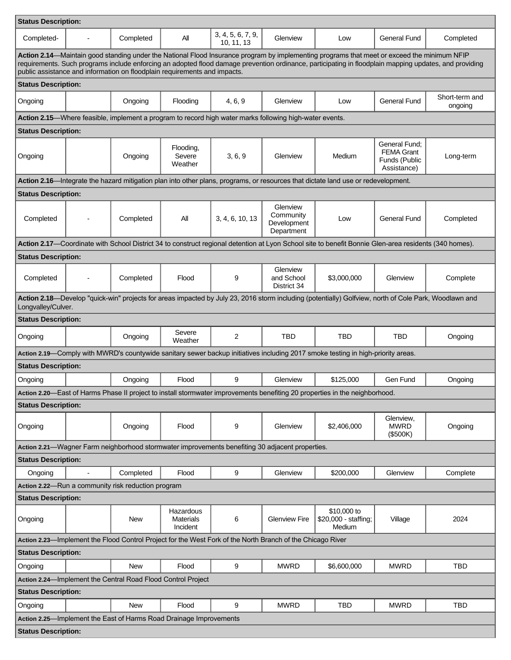| <b>Status Description:</b>                                                                                                                                                                                                                                                                                                                                                         |                          |            |                                           |                                                                                                         |                                                    |                                                                                                                                                       |                                                                    |                           |  |
|------------------------------------------------------------------------------------------------------------------------------------------------------------------------------------------------------------------------------------------------------------------------------------------------------------------------------------------------------------------------------------|--------------------------|------------|-------------------------------------------|---------------------------------------------------------------------------------------------------------|----------------------------------------------------|-------------------------------------------------------------------------------------------------------------------------------------------------------|--------------------------------------------------------------------|---------------------------|--|
| Completed-                                                                                                                                                                                                                                                                                                                                                                         |                          | Completed  | All                                       | 3, 4, 5, 6, 7, 9,<br>10, 11, 13                                                                         | Glenview                                           | Low                                                                                                                                                   | General Fund                                                       | Completed                 |  |
| Action 2.14—Maintain good standing under the National Flood Insurance program by implementing programs that meet or exceed the minimum NFIP<br>requirements. Such programs include enforcing an adopted flood damage prevention ordinance, participating in floodplain mapping updates, and providing<br>public assistance and information on floodplain requirements and impacts. |                          |            |                                           |                                                                                                         |                                                    |                                                                                                                                                       |                                                                    |                           |  |
| <b>Status Description:</b>                                                                                                                                                                                                                                                                                                                                                         |                          |            |                                           |                                                                                                         |                                                    |                                                                                                                                                       |                                                                    |                           |  |
| Ongoing                                                                                                                                                                                                                                                                                                                                                                            |                          | Ongoing    | Flooding                                  | 4, 6, 9                                                                                                 | Glenview                                           | Low                                                                                                                                                   | <b>General Fund</b>                                                | Short-term and<br>ongoing |  |
|                                                                                                                                                                                                                                                                                                                                                                                    |                          |            |                                           | Action 2.15—Where feasible, implement a program to record high water marks following high-water events. |                                                    |                                                                                                                                                       |                                                                    |                           |  |
| <b>Status Description:</b>                                                                                                                                                                                                                                                                                                                                                         |                          |            |                                           |                                                                                                         |                                                    |                                                                                                                                                       |                                                                    |                           |  |
| Ongoing                                                                                                                                                                                                                                                                                                                                                                            |                          | Ongoing    | Flooding,<br>Severe<br>Weather            | 3, 6, 9                                                                                                 | Glenview                                           | Medium                                                                                                                                                | General Fund:<br><b>FEMA Grant</b><br>Funds (Public<br>Assistance) | Long-term                 |  |
|                                                                                                                                                                                                                                                                                                                                                                                    |                          |            |                                           |                                                                                                         |                                                    | Action 2.16—Integrate the hazard mitigation plan into other plans, programs, or resources that dictate land use or redevelopment.                     |                                                                    |                           |  |
| <b>Status Description:</b>                                                                                                                                                                                                                                                                                                                                                         |                          |            |                                           |                                                                                                         |                                                    |                                                                                                                                                       |                                                                    |                           |  |
| Completed                                                                                                                                                                                                                                                                                                                                                                          |                          | Completed  | All                                       | 3, 4, 6, 10, 13                                                                                         | Glenview<br>Community<br>Development<br>Department | Low                                                                                                                                                   | <b>General Fund</b>                                                | Completed                 |  |
|                                                                                                                                                                                                                                                                                                                                                                                    |                          |            |                                           |                                                                                                         |                                                    | Action 2.17—Coordinate with School District 34 to construct regional detention at Lyon School site to benefit Bonnie Glen-area residents (340 homes). |                                                                    |                           |  |
| <b>Status Description:</b>                                                                                                                                                                                                                                                                                                                                                         |                          |            |                                           |                                                                                                         |                                                    |                                                                                                                                                       |                                                                    |                           |  |
| Completed                                                                                                                                                                                                                                                                                                                                                                          | $\overline{\phantom{0}}$ | Completed  | Flood                                     | 9                                                                                                       | Glenview<br>and School<br>District 34              | \$3,000,000                                                                                                                                           | Glenview                                                           | Complete                  |  |
| Longvalley/Culver.                                                                                                                                                                                                                                                                                                                                                                 |                          |            |                                           |                                                                                                         |                                                    | Action 2.18—Develop "quick-win" projects for areas impacted by July 23, 2016 storm including (potentially) Golfview, north of Cole Park, Woodlawn and |                                                                    |                           |  |
| <b>Status Description:</b>                                                                                                                                                                                                                                                                                                                                                         |                          |            |                                           |                                                                                                         |                                                    |                                                                                                                                                       |                                                                    |                           |  |
| Ongoing                                                                                                                                                                                                                                                                                                                                                                            |                          | Ongoing    | Severe<br>Weather                         | 2                                                                                                       | <b>TBD</b>                                         | <b>TBD</b>                                                                                                                                            | TBD                                                                | Ongoing                   |  |
|                                                                                                                                                                                                                                                                                                                                                                                    |                          |            |                                           |                                                                                                         |                                                    | Action 2.19-Comply with MWRD's countywide sanitary sewer backup initiatives including 2017 smoke testing in high-priority areas.                      |                                                                    |                           |  |
| <b>Status Description:</b>                                                                                                                                                                                                                                                                                                                                                         |                          |            |                                           |                                                                                                         |                                                    |                                                                                                                                                       |                                                                    |                           |  |
| Ongoing                                                                                                                                                                                                                                                                                                                                                                            |                          | Ongoing    | Flood                                     | 9                                                                                                       | Glenview                                           | \$125,000                                                                                                                                             | Gen Fund                                                           | Ongoing                   |  |
|                                                                                                                                                                                                                                                                                                                                                                                    |                          |            |                                           |                                                                                                         |                                                    | Action 2.20—East of Harms Phase II project to install stormwater improvements benefiting 20 properties in the neighborhood.                           |                                                                    |                           |  |
| <b>Status Description:</b>                                                                                                                                                                                                                                                                                                                                                         |                          |            |                                           |                                                                                                         |                                                    |                                                                                                                                                       |                                                                    |                           |  |
| Ongoing                                                                                                                                                                                                                                                                                                                                                                            |                          | Ongoing    | Flood                                     | 9                                                                                                       | Glenview                                           | \$2,406,000                                                                                                                                           | Glenview,<br><b>MWRD</b><br>(\$500K)                               | Ongoing                   |  |
| Action 2.21—Wagner Farm neighborhood stormwater improvements benefiting 30 adjacent properties.                                                                                                                                                                                                                                                                                    |                          |            |                                           |                                                                                                         |                                                    |                                                                                                                                                       |                                                                    |                           |  |
| <b>Status Description:</b>                                                                                                                                                                                                                                                                                                                                                         |                          |            |                                           |                                                                                                         |                                                    |                                                                                                                                                       |                                                                    |                           |  |
| Ongoing                                                                                                                                                                                                                                                                                                                                                                            | $\blacksquare$           | Completed  | Flood                                     | 9                                                                                                       | Glenview                                           | \$200.000                                                                                                                                             | Glenview                                                           | Complete                  |  |
| Action 2.22-Run a community risk reduction program                                                                                                                                                                                                                                                                                                                                 |                          |            |                                           |                                                                                                         |                                                    |                                                                                                                                                       |                                                                    |                           |  |
| <b>Status Description:</b>                                                                                                                                                                                                                                                                                                                                                         |                          |            |                                           |                                                                                                         |                                                    |                                                                                                                                                       |                                                                    |                           |  |
| Ongoing                                                                                                                                                                                                                                                                                                                                                                            |                          | New        | Hazardous<br><b>Materials</b><br>Incident | 6                                                                                                       | <b>Glenview Fire</b>                               | \$10,000 to<br>\$20,000 - staffing;<br>Medium                                                                                                         | Village                                                            | 2024                      |  |
| Action 2.23-Implement the Flood Control Project for the West Fork of the North Branch of the Chicago River                                                                                                                                                                                                                                                                         |                          |            |                                           |                                                                                                         |                                                    |                                                                                                                                                       |                                                                    |                           |  |
| <b>Status Description:</b>                                                                                                                                                                                                                                                                                                                                                         |                          |            |                                           |                                                                                                         |                                                    |                                                                                                                                                       |                                                                    |                           |  |
| Ongoing                                                                                                                                                                                                                                                                                                                                                                            |                          | <b>New</b> | Flood                                     | 9                                                                                                       | <b>MWRD</b>                                        | \$6,600,000                                                                                                                                           | <b>MWRD</b>                                                        | <b>TBD</b>                |  |
| Action 2.24-Implement the Central Road Flood Control Project                                                                                                                                                                                                                                                                                                                       |                          |            |                                           |                                                                                                         |                                                    |                                                                                                                                                       |                                                                    |                           |  |
| <b>Status Description:</b>                                                                                                                                                                                                                                                                                                                                                         |                          |            |                                           |                                                                                                         |                                                    |                                                                                                                                                       |                                                                    |                           |  |
| Ongoing                                                                                                                                                                                                                                                                                                                                                                            |                          | <b>New</b> | Flood                                     | 9                                                                                                       | <b>MWRD</b>                                        | <b>TBD</b>                                                                                                                                            | <b>MWRD</b>                                                        | TBD                       |  |
| Action 2.25-Implement the East of Harms Road Drainage Improvements                                                                                                                                                                                                                                                                                                                 |                          |            |                                           |                                                                                                         |                                                    |                                                                                                                                                       |                                                                    |                           |  |
| <b>Status Description:</b>                                                                                                                                                                                                                                                                                                                                                         |                          |            |                                           |                                                                                                         |                                                    |                                                                                                                                                       |                                                                    |                           |  |